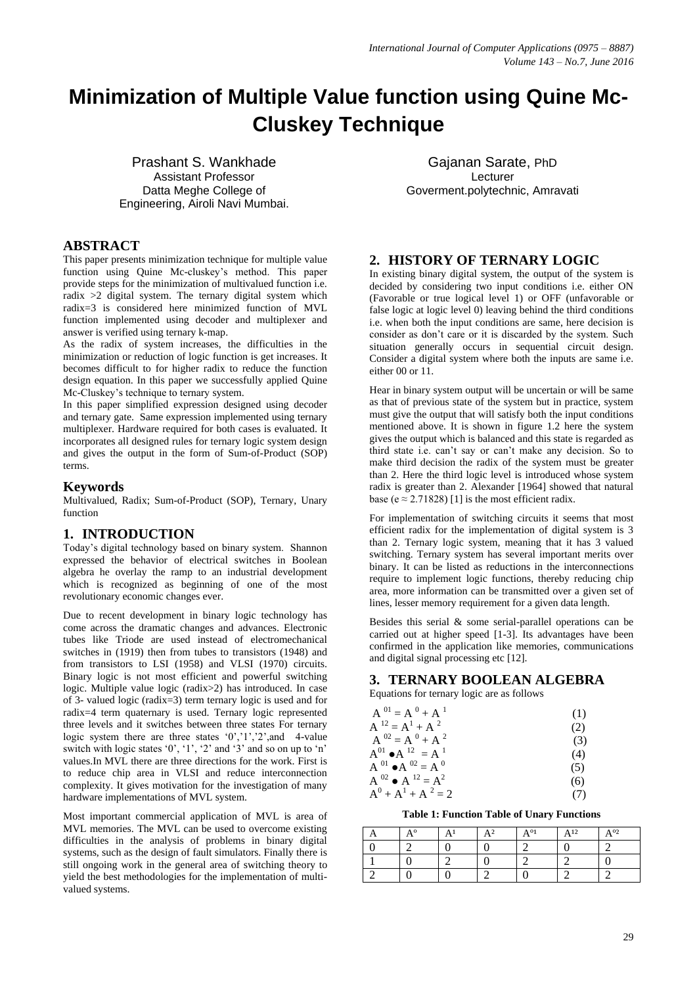# **Minimization of Multiple Value function using Quine Mc-Cluskey Technique**

Prashant S. Wankhade Assistant Professor Datta Meghe College of Engineering, Airoli Navi Mumbai.

### **ABSTRACT**

This paper presents minimization technique for multiple value function using Quine Mc-cluskey"s method. This paper provide steps for the minimization of multivalued function i.e. radix  $>2$  digital system. The ternary digital system which radix=3 is considered here minimized function of MVL function implemented using decoder and multiplexer and answer is verified using ternary k-map.

As the radix of system increases, the difficulties in the minimization or reduction of logic function is get increases. It becomes difficult to for higher radix to reduce the function design equation. In this paper we successfully applied Quine Mc-Cluskey"s technique to ternary system.

In this paper simplified expression designed using decoder and ternary gate. Same expression implemented using ternary multiplexer. Hardware required for both cases is evaluated. It incorporates all designed rules for ternary logic system design and gives the output in the form of Sum-of-Product (SOP) terms.

## **Keywords**

Multivalued, Radix; Sum-of-Product (SOP), Ternary, Unary function

# **1. INTRODUCTION**

Today"s digital technology based on binary system. Shannon expressed the behavior of electrical switches in Boolean algebra he overlay the ramp to an industrial development which is recognized as beginning of one of the most revolutionary economic changes ever.

Due to recent development in binary logic technology has come across the dramatic changes and advances. Electronic tubes like Triode are used instead of electromechanical switches in (1919) then from tubes to transistors (1948) and from transistors to LSI (1958) and VLSI (1970) circuits. Binary logic is not most efficient and powerful switching logic. Multiple value logic (radix>2) has introduced. In case of 3- valued logic (radix=3) term ternary logic is used and for radix=4 term quaternary is used. Ternary logic represented three levels and it switches between three states For ternary logic system there are three states  $(0, 1, 2)$ , and 4-value switch with logic states  $0'$ ,  $1'$ ,  $2'$  and  $3'$  and so on up to 'n' values.In MVL there are three directions for the work. First is to reduce chip area in VLSI and reduce interconnection complexity. It gives motivation for the investigation of many hardware implementations of MVL system.

Most important commercial application of MVL is area of MVL memories. The MVL can be used to overcome existing difficulties in the analysis of problems in binary digital systems, such as the design of fault simulators. Finally there is still ongoing work in the general area of switching theory to yield the best methodologies for the implementation of multivalued systems.

Gajanan Sarate, PhD Lecturer Goverment.polytechnic, Amravati

# **2. HISTORY OF TERNARY LOGIC**

In existing binary digital system, the output of the system is decided by considering two input conditions i.e. either ON (Favorable or true logical level 1) or OFF (unfavorable or false logic at logic level 0) leaving behind the third conditions i.e. when both the input conditions are same, here decision is consider as don"t care or it is discarded by the system. Such situation generally occurs in sequential circuit design. Consider a digital system where both the inputs are same i.e. either 00 or 11.

Hear in binary system output will be uncertain or will be same as that of previous state of the system but in practice, system must give the output that will satisfy both the input conditions mentioned above. It is shown in figure 1.2 here the system gives the output which is balanced and this state is regarded as third state i.e. can"t say or can"t make any decision. So to make third decision the radix of the system must be greater than 2. Here the third logic level is introduced whose system radix is greater than 2. Alexander [1964] showed that natural base (e  $\approx$  2.71828) [1] is the most efficient radix.

For implementation of switching circuits it seems that most efficient radix for the implementation of digital system is 3 than 2. Ternary logic system, meaning that it has 3 valued switching. Ternary system has several important merits over binary. It can be listed as reductions in the interconnections require to implement logic functions, thereby reducing chip area, more information can be transmitted over a given set of lines, lesser memory requirement for a given data length.

Besides this serial & some serial-parallel operations can be carried out at higher speed [1-3]. Its advantages have been confirmed in the application like memories, communications and digital signal processing etc [12].

# **3. TERNARY BOOLEAN ALGEBRA**

Equations for ternary logic are as follows

| $A^{01} = A^{0} + A^{1}$            | (1) |
|-------------------------------------|-----|
| $A^{12} = A^1 + A^{2}$              | (2) |
| $A^{02} = A^0 + A^2$                | (3) |
| $A^{01} \bullet A^{12} = A^{1}$     | (4) |
| $A^{01}$ $\bullet$ $A^{02} = A^{0}$ | (5) |
| $A^{02} \bullet A^{12} = A^2$       | (6) |
| $A^0 + A^1 + A^2 = 2$               | (7) |

**Table 1: Function Table of Unary Functions**

| $\Lambda$ <sup>o</sup> | Δ | $\Delta$ 2 | $\Delta^{o_1}$ | $\Delta$ 12 | $A^{o_2}$ |
|------------------------|---|------------|----------------|-------------|-----------|
|                        |   |            |                |             |           |
|                        |   |            |                |             |           |
|                        |   |            |                |             |           |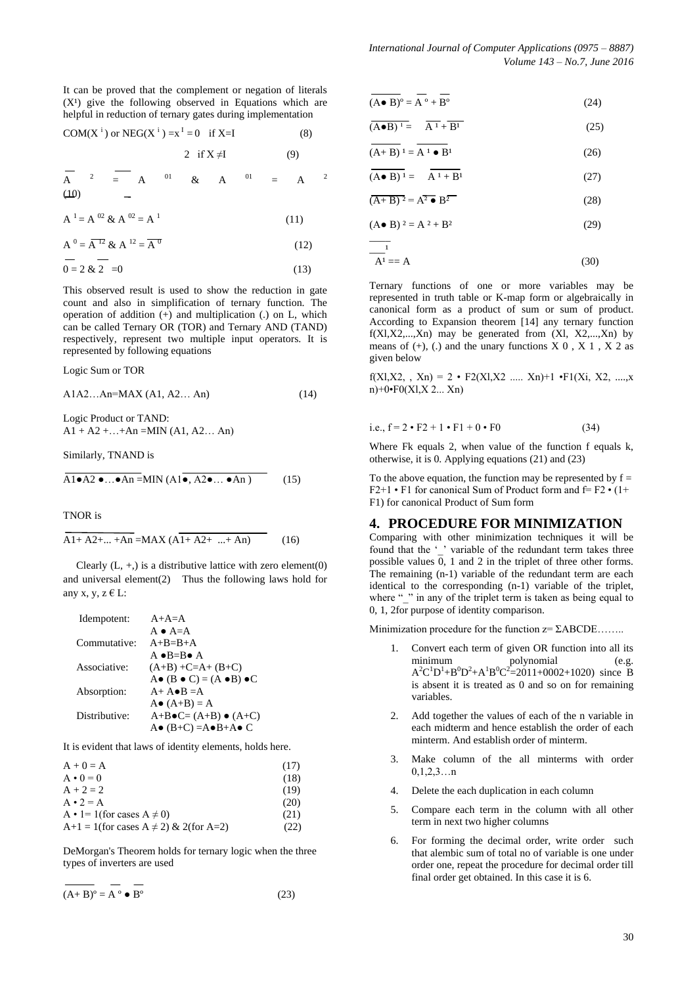It can be proved that the complement or negation of literals  $(X<sup>1</sup>)$  give the following observed in Equations which are helpful in reduction of ternary gates during implementation

COM(X <sup>i</sup>) or NEG(X <sup>i</sup> ) =x <sup>I</sup> = 0 if X=I(8)

$$
2 \quad \text{if } X \neq I \tag{9}
$$

$$
\begin{array}{ccc}\nA & 2 & = & A & 01 & \& & A & 01 & = & A & 2 \\
(10) & & & = & & & \\
\end{array}
$$

 $A<sup>1</sup> = A<sup>02</sup> \& A<sup>02</sup> = A<sup>1</sup>$ (11)

$$
A^{0} = \overline{A^{12}} \& A^{12} = \overline{A^{0}}
$$
 (12)

$$
0 = 2 \& 2 = 0 \tag{13}
$$

This observed result is used to show the reduction in gate count and also in simplification of ternary function. The operation of addition  $(+)$  and multiplication  $(.)$  on L, which can be called Ternary OR (TOR) and Ternary AND (TAND) respectively, represent two multiple input operators. It is represented by following equations

Logic Sum or TOR

A1A2…An=MAX (A1, A2… An) (14)

Logic Product or TAND:  $A1 + A2 + ... + An = MIN (A1, A2... An)$ 

Similarly, TNAND is

$$
\overline{A1 \bullet A2 \bullet ... \bullet An} = MIN(A1 \overline{\bullet, A2 \bullet ... \bullet An})
$$
 (15)

TNOR is

$$
A1 + A2 + ... + An = MAX (A1 + A2 + ... + An)
$$
 (16)

Clearly  $(L, +)$  is a distributive lattice with zero element $(0)$ and universal element(2) Thus the following laws hold for any x, y,  $z \in L$ :

| Idempotent:   | $A+A=A$                                             |
|---------------|-----------------------------------------------------|
|               | $A \bullet A = A$                                   |
| Commutative:  | $A+B=B+A$                                           |
|               | $A \bullet B = B \bullet A$                         |
| Associative:  | $(A+B) + C=A+(B+C)$                                 |
|               | $A \bullet (B \bullet C) = (A \bullet B) \bullet C$ |
| Absorption:   | $A + A \bullet B = A$                               |
|               | $A \bullet (A+B) = A$                               |
| Distributive: | $A+B\bullet C=(A+B)\bullet (A+C)$                   |
|               | $A \bullet (B+C) = A \bullet B + A \bullet C$       |

It is evident that laws of identity elements, holds here.

| $A + 0 = A$                                    | (17) |
|------------------------------------------------|------|
| $A \cdot 0 = 0$                                | (18) |
| $A + 2 = 2$                                    | (19) |
| $A \cdot 2 = A$                                | (20) |
| $A \cdot 1 = 1$ (for cases $A \neq 0$ )        | (21) |
| $A+1 = 1$ (for cases $A \neq 2$ ) & 2(for A=2) | (22) |
|                                                |      |

DeMorgan's Theorem holds for ternary logic when the three types of inverters are used

$$
\overline{(A+B)^{o}} = \overline{A^{o}} \bullet \overline{B^{o}}
$$
 (23)

$$
\overline{(A \bullet B)^{\circ}} = \overline{A^{\circ}} + \overline{B^{\circ}}
$$
 (24)

$$
\overline{(\mathbf{A}\bullet\mathbf{B})^{\perp}} = \overline{\mathbf{A}^{\perp}} + \overline{\mathbf{B}^{\perp}}
$$
 (25)

$$
\overline{(A+B)}\,{}^{1} = \overline{A}\,{}^{1} \bullet \overline{B}{}^{1}
$$
 (26)

$$
(\mathbf{A} \bullet \mathbf{B})^1 = \mathbf{A}^1 + \mathbf{B}^1 \tag{27}
$$

$$
\overline{(A+B)^2} = A^2 \bullet B^2 \tag{28}
$$

$$
(A \bullet B) \quad 2 = A^2 + B^2 \tag{29}
$$

$$
\frac{1}{A^1} = A \tag{30}
$$

Ternary functions of one or more variables may be represented in truth table or K-map form or algebraically in canonical form as a product of sum or sum of product. According to Expansion theorem [14] any ternary function  $f(XI, X2,...,Xn)$  may be generated from  $(XI, X2,...,Xn)$  by means of  $(+)$ ,  $(.)$  and the unary functions  $X_0$ ,  $X_1$ ,  $X_2$  as given below

f(Xl,X2, , Xn) = 2 • F2(Xl,X2 ..... Xn)+1 •F1(Xi, X2, ....,x n)+0•F0(Xl,X 2... Xn)

i.e., 
$$
f = 2 \cdot F2 + 1 \cdot F1 + 0 \cdot F0
$$
 (34)

Where Fk equals 2, when value of the function f equals k, otherwise, it is 0. Applying equations (21) and (23)

To the above equation, the function may be represented by  $f =$  $F2+1 \cdot F1$  for canonical Sum of Product form and  $f = F2 \cdot (1+f)$ F1) for canonical Product of Sum form

#### **4. PROCEDURE FOR MINIMIZATION**

Comparing with other minimization techniques it will be found that the ' ' variable of the redundant term takes three possible values  $\overline{0}$ , 1 and 2 in the triplet of three other forms. The remaining (n-1) variable of the redundant term are each identical to the corresponding (n-1) variable of the triplet, where " " in any of the triplet term is taken as being equal to 0, 1, 2for purpose of identity comparison.

Minimization procedure for the function  $z = \Sigma ABCDE$ .......

- 1. Convert each term of given OR function into all its minimum polynomial (e.g.  $A^2C^1D^1 + B^0D^2 + A^1B^0C^2 = 2011 + 0002 + 1020$  since B is absent it is treated as 0 and so on for remaining variables.
- 2. Add together the values of each of the n variable in each midterm and hence establish the order of each minterm. And establish order of minterm.
- 3. Make column of the all minterms with order  $0,1,2,3...n$
- 4. Delete the each duplication in each column
- 5. Compare each term in the column with all other term in next two higher columns
- 6. For forming the decimal order, write order such that alembic sum of total no of variable is one under order one, repeat the procedure for decimal order till final order get obtained. In this case it is 6.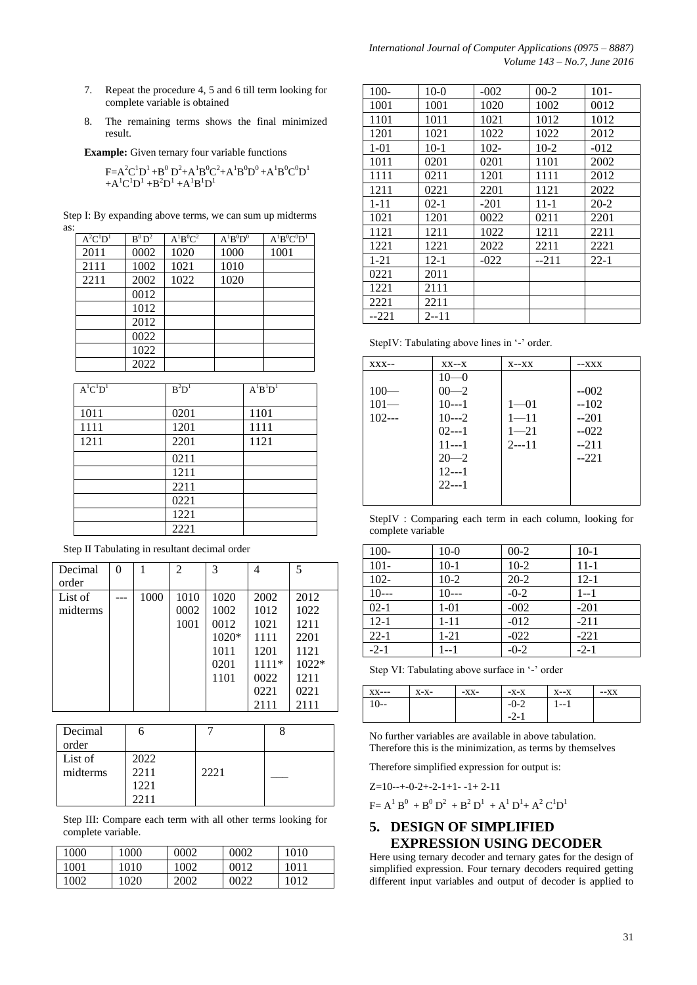- 7. Repeat the procedure 4, 5 and 6 till term looking for complete variable is obtained
- 8. The remaining terms shows the final minimized result.

**Example:** Given ternary four variable functions

$$
F = A^2C^1D^1 + B^0D^2 + A^1B^0C^2 + A^1B^0D^0 + A^1B^0C^0D^1
$$
  
+A<sup>1</sup>C<sup>1</sup>D<sup>1</sup> +B<sup>2</sup>D<sup>1</sup> +A<sup>1</sup>B<sup>1</sup>D<sup>1</sup>

|     | Step I: By expanding above terms, we can sum up midterms |  |  |
|-----|----------------------------------------------------------|--|--|
| as: |                                                          |  |  |

| $A^2C^1D^1$ | $B^0D^2$ | $A^{1}B^{0}C^{2}$ | $A^{1}B^{0}D^{0}$ | $A^{1}B^{0}C^{0}D^{1}$ |
|-------------|----------|-------------------|-------------------|------------------------|
| 2011        | 0002     | 1020              | 1000              | 1001                   |
| 2111        | 1002     | 1021              | 1010              |                        |
| 2211        | 2002     | 1022              | 1020              |                        |
|             | 0012     |                   |                   |                        |
|             | 1012     |                   |                   |                        |
|             | 2012     |                   |                   |                        |
|             | 0022     |                   |                   |                        |
|             | 1022     |                   |                   |                        |
|             | 2022     |                   |                   |                        |

| $A^{1}C^{1}D^{1}$ | $B^2D^1$ | $A^{1}B^{1}D^{1}$ |
|-------------------|----------|-------------------|
|                   |          |                   |
| 1011              | 0201     | 1101              |
| 1111              | 1201     | 1111              |
| 1211              | 2201     | 1121              |
|                   | 0211     |                   |
|                   | 1211     |                   |
|                   | 2211     |                   |
|                   | 0221     |                   |
|                   | 1221     |                   |
|                   | 2221     |                   |

Step II Tabulating in resultant decimal order

| Decimal  | $\theta$ |      | $\overline{c}$ | 3       | 4       | 5       |
|----------|----------|------|----------------|---------|---------|---------|
| order    |          |      |                |         |         |         |
| List of  |          | 1000 | 1010           | 1020    | 2002    | 2012    |
| midterms |          |      | 0002           | 1002    | 1012    | 1022    |
|          |          |      | 1001           | 0012    | 1021    | 1211    |
|          |          |      |                | $1020*$ | 1111    | 2201    |
|          |          |      |                | 1011    | 1201    | 1121    |
|          |          |      |                | 0201    | $1111*$ | $1022*$ |
|          |          |      |                | 1101    | 0022    | 1211    |
|          |          |      |                |         | 0221    | 0221    |
|          |          |      |                |         | 2111    | 2111    |

| Decimal  |      |      |  |
|----------|------|------|--|
| order    |      |      |  |
| List of  | 2022 |      |  |
| midterms | 2211 | 2221 |  |
|          | 1221 |      |  |
|          | 2211 |      |  |

Step III: Compare each term with all other terms looking for complete variable.

| 1000 | 1000 | 0002 | 0002 | 1010 |
|------|------|------|------|------|
| 1001 | 1010 | 1002 | 0012 | 1011 |
| 1002 | 1020 | 2002 | നാാ  | 1012 |

| $100 -$  | $10-0$   | $-002$  | $00-2$ | $101 -$  |
|----------|----------|---------|--------|----------|
| 1001     | 1001     | 1020    | 1002   | 0012     |
| 1101     | 1011     | 1021    | 1012   | 1012     |
| 1201     | 1021     | 1022    | 1022   | 2012     |
| $1 - 01$ | $10-1$   | $102 -$ | $10-2$ | $-012$   |
| 1011     | 0201     | 0201    | 1101   | 2002     |
| 1111     | 0211     | 1201    | 1111   | 2012     |
| 1211     | 0221     | 2201    | 1121   | 2022     |
| $1 - 11$ | $02-1$   | $-201$  | 11-1   | $20 - 2$ |
| 1021     | 1201     | 0022    | 0211   | 2201     |
| 1121     | 1211     | 1022    | 1211   | 2211     |
| 1221     | 1221     | 2022    | 2211   | 2221     |
| $1 - 21$ | $12-1$   | $-022$  | --211  | $22 - 1$ |
| 0221     | 2011     |         |        |          |
| 1221     | 2111     |         |        |          |
| 2221     | 2211     |         |        |          |
| $-221$   | $2 - 11$ |         |        |          |

StepIV: Tabulating above lines in '-' order.

| $XXX$ -- | $XX - X$ | $X - XX$ | $-XXX$ |
|----------|----------|----------|--------|
|          | $10 - 0$ |          |        |
| $100-$   | $00 - 2$ |          | $-002$ |
| $101 -$  | $10--1$  | $1 - 01$ | $-102$ |
| $102--$  | $10--2$  | $1 - 11$ | $-201$ |
|          | $02--1$  | $1 - 21$ | $-022$ |
|          | $11--1$  | $2--11$  | $-211$ |
|          | $20 - 2$ |          | $-221$ |
|          | $12--1$  |          |        |
|          | $22--1$  |          |        |
|          |          |          |        |

StepIV : Comparing each term in each column, looking for complete variable

| $100 -$  | $10-0$   | $00-2$   | $10-1$   |
|----------|----------|----------|----------|
| $101 -$  | $10-1$   | $10-2$   | $11 - 1$ |
| $102 -$  | $10-2$   | $20 - 2$ | $12 - 1$ |
| $10--$   | $10--$   | $-0-2$   | $1 - 1$  |
| $02 - 1$ | $1 - 01$ | $-002$   | $-201$   |
| $12 - 1$ | $1 - 11$ | $-012$   | $-211$   |
| $22 - 1$ | $1 - 21$ | $-022$   | $-221$   |
| $-2-1$   | $1 - 1$  | $-0-2$   | $-2-1$   |

Step VI: Tabulating above surface in '-' order

| $XX--$ | $X-X-$ | $-XX-$ | $-X-X$ | $X - X$ | $-XX$ |
|--------|--------|--------|--------|---------|-------|
| 10--   |        |        | $-0-2$ | 1-- 1   |       |
|        |        |        | $-2-1$ |         |       |

No further variables are available in above tabulation. Therefore this is the minimization, as terms by themselves

Therefore simplified expression for output is:

Z=10--+-0-2+-2-1+1- -1+ 2-11

 $F = A^1 B^0 + B^0 D^2 + B^2 D^1 + A^1 D^1 + A^2 C^1 D^1$ 

#### **5. DESIGN OF SIMPLIFIED EXPRESSION USING DECODER**

Here using ternary decoder and ternary gates for the design of simplified expression. Four ternary decoders required getting different input variables and output of decoder is applied to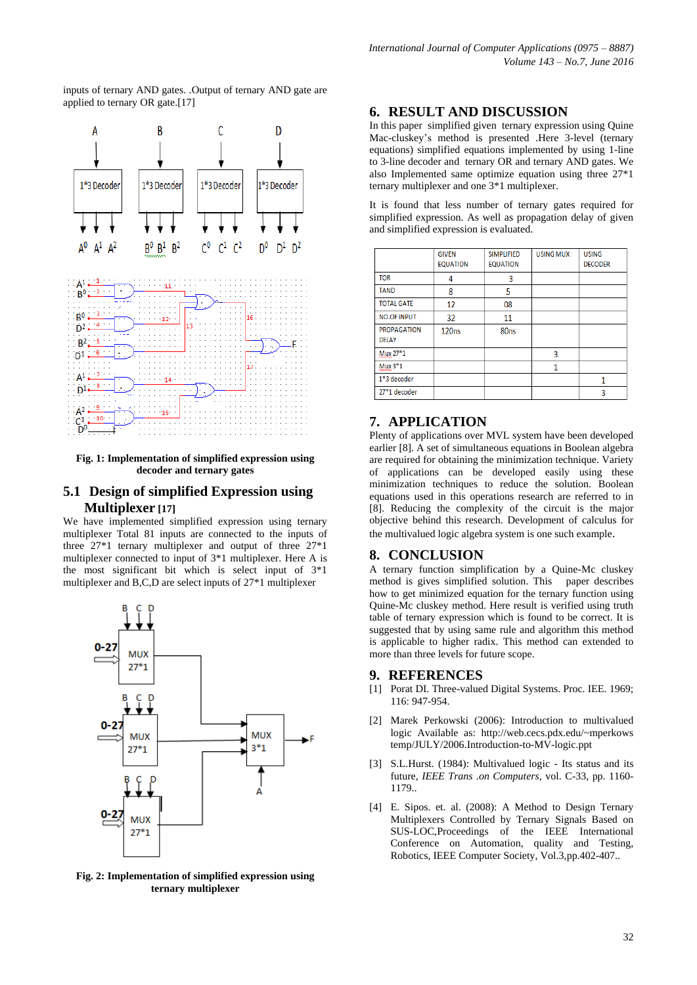inputs of ternary AND gates. .Output of ternary AND gate are applied to ternary OR gate.[17]



**Fig. 1: Implementation of simplified expression using decoder and ternary gates**

#### **5.1 Design of simplified Expression using Multiplexer [17]**

We have implemented simplified expression using ternary multiplexer Total 81 inputs are connected to the inputs of three 27\*1 ternary multiplexer and output of three 27\*1 multiplexer connected to input of 3\*1 multiplexer. Here A is the most significant bit which is select input of 3\*1 multiplexer and B,C,D are select inputs of 27\*1 multiplexer



**Fig. 2: Implementation of simplified expression using ternary multiplexer**

#### **6. RESULT AND DISCUSSION**

In this paper simplified given ternary expression using Quine Mac-cluskey"s method is presented .Here 3-level (ternary equations) simplified equations implemented by using 1-line to 3-line decoder and ternary OR and ternary AND gates. We also Implemented same optimize equation using three 27\*1 ternary multiplexer and one 3\*1 multiplexer.

It is found that less number of ternary gates required for simplified expression. As well as propagation delay of given and simplified expression is evaluated.

|                                    | <b>GIVEN</b><br><b>EQUATION</b> | <b>SIMPLIFIED</b><br><b>EQUATION</b> | <b>USING MUX</b> | <b>USING</b><br><b>DECODER</b> |
|------------------------------------|---------------------------------|--------------------------------------|------------------|--------------------------------|
| <b>TOR</b>                         | 4                               | 3                                    |                  |                                |
| <b>TAND</b>                        | 8                               | 5                                    |                  |                                |
| <b>TOTAL GATE</b>                  | 12                              | 08                                   |                  |                                |
| <b>NO.OF INPUT</b>                 | 32                              | 11                                   |                  |                                |
| <b>PROPAGATION</b><br><b>DELAY</b> | 120ns                           | 80 <sub>ns</sub>                     |                  |                                |
| Mux 27*1                           |                                 |                                      | 3                |                                |
| $Mux3*1$                           |                                 |                                      |                  |                                |
| $1*3$ decoder                      |                                 |                                      |                  | 1                              |
| 27*1 decoder                       |                                 |                                      |                  | 3                              |

### **7. APPLICATION**

Plenty of applications over MVL system have been developed earlier [8]. A set of simultaneous equations in Boolean algebra are required for obtaining the minimization technique. Variety of applications can be developed easily using these minimization techniques to reduce the solution. Boolean equations used in this operations research are referred to in [8]. Reducing the complexity of the circuit is the major objective behind this research. Development of calculus for the multivalued logic algebra system is one such example.

#### **8. CONCLUSION**

A ternary function simplification by a Quine-Mc cluskey method is gives simplified solution. This paper describes how to get minimized equation for the ternary function using Quine-Mc cluskey method. Here result is verified using truth table of ternary expression which is found to be correct. It is suggested that by using same rule and algorithm this method is applicable to higher radix. This method can extended to more than three levels for future scope.

#### **9. REFERENCES**

- [1] Porat DI. Three-valued Digital Systems. Proc. IEE. 1969; 116: 947-954.
- [2] Marek Perkowski (2006): Introduction to multivalued logic Available as: http://web.cecs.pdx.edu/~mperkows temp/JULY/2006.Introduction-to-MV-logic.ppt
- [3] S.L.Hurst. (1984): Multivalued logic Its status and its future, *IEEE Trans .on Computers,* vol. C-33, pp. 1160- 1179..
- [4] E. Sipos. et. al. (2008): A Method to Design Ternary Multiplexers Controlled by Ternary Signals Based on SUS-LOC,Proceedings of the IEEE International Conference on Automation, quality and Testing, Robotics, IEEE Computer Society, Vol.3,pp.402-407..